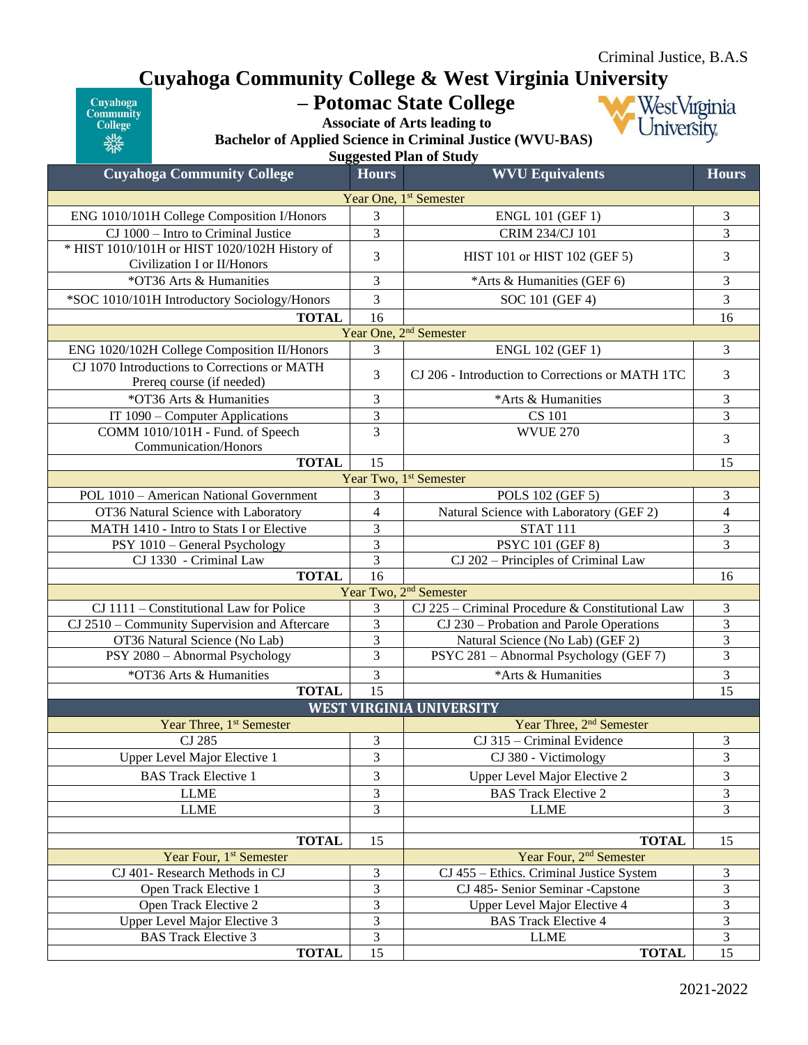## **Cuyahoga Community College & West Virginia University**

Cuyahoga<br>Community<br>College 業業

## **– Potomac State College Associate of Arts leading to**

WestVirginia University.

**Bachelor of Applied Science in Criminal Justice (WVU-BAS) Suggested Plan of Study**

| <b>Cuyahoga Community College</b>                                               | <b>Hours</b>        | <b>WVU Equivalents</b>                                     | <b>Hours</b>                     |
|---------------------------------------------------------------------------------|---------------------|------------------------------------------------------------|----------------------------------|
| Year One, 1 <sup>st</sup> Semester                                              |                     |                                                            |                                  |
| ENG 1010/101H College Composition I/Honors                                      | 3                   | <b>ENGL 101 (GEF 1)</b>                                    | 3                                |
| CJ 1000 - Intro to Criminal Justice                                             | 3                   | CRIM 234/CJ 101                                            | 3                                |
| * HIST 1010/101H or HIST 1020/102H History of                                   | 3                   |                                                            | 3                                |
| Civilization I or II/Honors                                                     |                     | HIST 101 or HIST 102 (GEF 5)                               |                                  |
| *OT36 Arts & Humanities                                                         | 3                   | *Arts & Humanities (GEF 6)                                 | 3                                |
| *SOC 1010/101H Introductory Sociology/Honors                                    | 3                   | SOC 101 (GEF 4)                                            | 3                                |
| 16<br><b>TOTAL</b>                                                              |                     |                                                            | 16                               |
| Year One, 2 <sup>nd</sup> Semester                                              |                     |                                                            |                                  |
| ENG 1020/102H College Composition II/Honors                                     | 3                   | <b>ENGL 102 (GEF 1)</b>                                    | 3                                |
| CJ 1070 Introductions to Corrections or MATH<br>Prereq course (if needed)       | 3                   | CJ 206 - Introduction to Corrections or MATH 1TC           | 3                                |
| *OT36 Arts & Humanities                                                         | 3                   | *Arts & Humanities                                         | 3                                |
| IT 1090 – Computer Applications                                                 | 3                   | <b>CS 101</b>                                              | $\overline{3}$                   |
| COMM 1010/101H - Fund. of Speech                                                | $\overline{3}$      | <b>WVUE 270</b>                                            | 3                                |
| Communication/Honors                                                            |                     |                                                            |                                  |
| <b>TOTAL</b>                                                                    | 15                  |                                                            | 15                               |
|                                                                                 |                     | Year Two, 1 <sup>st</sup> Semester                         |                                  |
| POL 1010 - American National Government<br>OT36 Natural Science with Laboratory | 3<br>$\overline{4}$ | POLS 102 (GEF 5)                                           | 3                                |
| MATH 1410 - Intro to Stats I or Elective                                        |                     | Natural Science with Laboratory (GEF 2)<br><b>STAT 111</b> | $\overline{4}$<br>$\mathfrak{Z}$ |
| PSY 1010 - General Psychology                                                   | 3<br>3              | <b>PSYC 101 (GEF 8)</b>                                    | 3                                |
| CJ 1330 - Criminal Law                                                          | 3                   | CJ 202 – Principles of Criminal Law                        |                                  |
| <b>TOTAL</b>                                                                    | 16                  |                                                            | 16                               |
| Year Two, 2 <sup>nd</sup> Semester                                              |                     |                                                            |                                  |
| $CJ$ 1111 – Constitutional Law for Police                                       | 3                   | CJ 225 – Criminal Procedure & Constitutional Law           | 3                                |
| CJ 2510 - Community Supervision and Aftercare                                   | 3                   | CJ 230 – Probation and Parole Operations                   | $\mathfrak{Z}$                   |
| OT36 Natural Science (No Lab)                                                   | 3                   | Natural Science (No Lab) (GEF 2)                           | $\mathfrak{Z}$                   |
| PSY 2080 - Abnormal Psychology                                                  | $\overline{3}$      | PSYC 281 - Abnormal Psychology (GEF 7)                     | $\overline{3}$                   |
| *OT36 Arts & Humanities                                                         | 3                   | *Arts & Humanities                                         | 3                                |
| <b>TOTAL</b>                                                                    | 15                  |                                                            | 15                               |
| <b>WEST VIRGINIA UNIVERSITY</b>                                                 |                     |                                                            |                                  |
| Year Three, 1 <sup>st</sup> Semester                                            |                     | Year Three, 2 <sup>nd</sup> Semester                       |                                  |
| CJ 285                                                                          | $\mathfrak{Z}$      | CJ 315 - Criminal Evidence                                 | 3                                |
| Upper Level Major Elective 1                                                    | 3                   | CJ 380 - Victimology                                       | 3                                |
| <b>BAS Track Elective 1</b>                                                     | 3                   | Upper Level Major Elective 2                               | 3                                |
| <b>LLME</b>                                                                     | 3                   | <b>BAS Track Elective 2</b>                                | 3                                |
| <b>LLME</b>                                                                     | 3                   | <b>LLME</b>                                                | 3                                |
|                                                                                 | 15                  |                                                            | 15                               |
| <b>TOTAL</b><br>Year Four, 1 <sup>st</sup> Semester                             |                     | <b>TOTAL</b><br>Year Four, 2 <sup>nd</sup> Semester        |                                  |
| CJ 401- Research Methods in CJ                                                  | 3                   | CJ 455 - Ethics. Criminal Justice System                   | $\mathfrak{Z}$                   |
| Open Track Elective 1                                                           | 3                   | CJ 485- Senior Seminar -Capstone                           | 3                                |
| Open Track Elective 2                                                           | 3                   | Upper Level Major Elective 4                               | 3                                |
| <b>Upper Level Major Elective 3</b>                                             | 3                   | <b>BAS Track Elective 4</b>                                | 3                                |
| <b>BAS Track Elective 3</b>                                                     | 3                   | <b>LLME</b>                                                | $\mathfrak{Z}$                   |
| <b>TOTAL</b>                                                                    | 15                  | <b>TOTAL</b>                                               | $\overline{15}$                  |